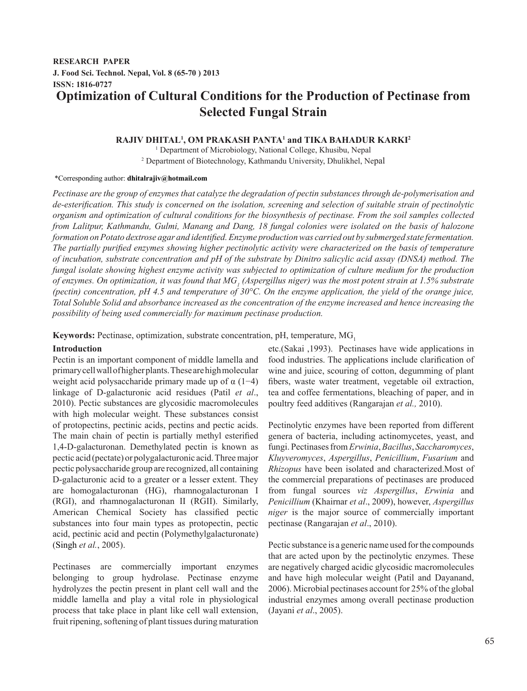## **RESEARCH PAPER J. Food Sci. Technol. Nepal, Vol. 8 (65-70 ) 2013 ISSN: 1816-0727 Optimization of Cultural Conditions for the Production of Pectinase from Selected Fungal Strain**

## **RAJIV DHITAL1 , OM PRAKASH PANTA1 and TIKA BAHADUR KARKI2**

1 Department of Microbiology, National College, Khusibu, Nepal 2 Department of Biotechnology, Kathmandu University, Dhulikhel, Nepal

# \*Corresponding author: **dhitalrajiv@hotmail.com**

*Pectinase are the group of enzymes that catalyze the degradation of pectin substances through de-polymerisation and de-esterification. This study is concerned on the isolation, screening and selection of suitable strain of pectinolytic organism and optimization of cultural conditions for the biosynthesis of pectinase. From the soil samples collected from Lalitpur, Kathmandu, Gulmi, Manang and Dang, 18 fungal colonies were isolated on the basis of halozone formation on Potato dextrose agar and identified. Enzyme production was carried out by submerged state fermentation. The partially purified enzymes showing higher pectinolytic activity were characterized on the basis of temperature of incubation, substrate concentration and pH of the substrate by Dinitro salicylic acid assay (DNSA) method. The fungal isolate showing highest enzyme activity was subjected to optimization of culture medium for the production*  of enzymes. On optimization, it was found that MG<sub>1</sub> (Aspergillus niger) was the most potent strain at 1.5% substrate *(pectin) concentration, pH 4.5 and temperature of 30°C. On the enzyme application, the yield of the orange juice, Total Soluble Solid and absorbance increased as the concentration of the enzyme increased and hence increasing the possibility of being used commercially for maximum pectinase production.*

**Keywords:** Pectinase, optimization, substrate concentration, pH, temperature, MG<sub>1</sub>

## **Introduction**

Pectin is an important component of middle lamella and primary cell wall of higher plants. These are high molecular weight acid polysaccharide primary made up of  $\alpha$  (1–4) linkage of D-galacturonic acid residues (Patil *et al*., 2010). Pectic substances are glycosidic macromolecules with high molecular weight. These substances consist of protopectins, pectinic acids, pectins and pectic acids. The main chain of pectin is partially methyl esterified 1,4-D-galacturonan. Demethylated pectin is known as pectic acid (pectate) or polygalacturonic acid. Three major pectic polysaccharide group are recognized, all containing D-galacturonic acid to a greater or a lesser extent. They are homogalacturonan (HG), rhamnogalacturonan I (RGI), and rhamnogalacturonan II (RGII). Similarly, American Chemical Society has classified pectic substances into four main types as protopectin, pectic acid, pectinic acid and pectin (Polymethylgalacturonate) (Singh *et al.*, 2005).

Pectinases are commercially important enzymes belonging to group hydrolase. Pectinase enzyme hydrolyzes the pectin present in plant cell wall and the middle lamella and play a vital role in physiological process that take place in plant like cell wall extension, fruit ripening, softening of plant tissues during maturation

etc.(Sakai ,1993). Pectinases have wide applications in food industries. The applications include clarification of wine and juice, scouring of cotton, degumming of plant fibers, waste water treatment, vegetable oil extraction, tea and coffee fermentations, bleaching of paper, and in poultry feed additives (Rangarajan *et al.,* 2010).

Pectinolytic enzymes have been reported from different genera of bacteria, including actinomycetes, yeast, and fungi. Pectinases from *Erwinia*, *Bacillus*, *Saccharomyces*, *Kluyveromyces*, *Aspergillus*, *Penicillium*, *Fusarium* and *Rhizopus* have been isolated and characterized.Most of the commercial preparations of pectinases are produced from fungal sources *viz Aspergillus*, *Erwinia* and *Penicillium* (Khairnar *et al*., 2009), however, *Aspergillus niger* is the major source of commercially important pectinase (Rangarajan *et al*., 2010).

Pectic substance is a generic name used for the compounds that are acted upon by the pectinolytic enzymes. These are negatively charged acidic glycosidic macromolecules and have high molecular weight (Patil and Dayanand, 2006). Microbial pectinases account for 25% of the global industrial enzymes among overall pectinase production (Jayani *et al*., 2005).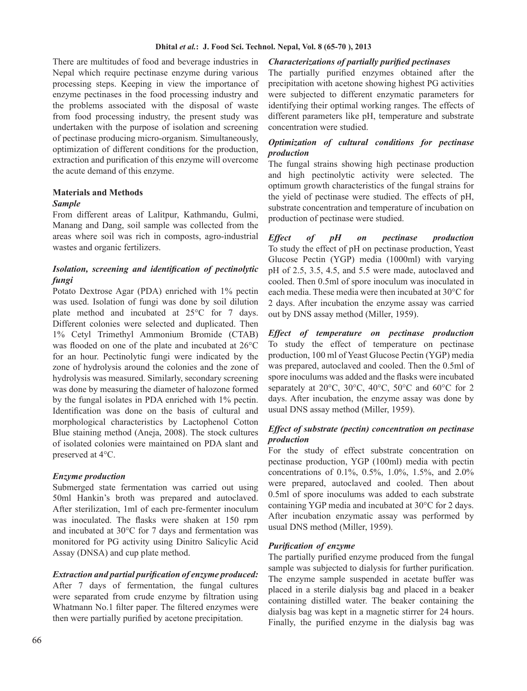There are multitudes of food and beverage industries in Nepal which require pectinase enzyme during various processing steps. Keeping in view the importance of enzyme pectinases in the food processing industry and the problems associated with the disposal of waste from food processing industry, the present study was undertaken with the purpose of isolation and screening of pectinase producing micro-organism. Simultaneously, optimization of different conditions for the production, extraction and purification of this enzyme will overcome the acute demand of this enzyme.

## **Materials and Methods**

## *Sample*

From different areas of Lalitpur, Kathmandu, Gulmi, Manang and Dang, soil sample was collected from the areas where soil was rich in composts, agro-industrial wastes and organic fertilizers.

## *Isolation, screening and identification of pectinolytic fungi*

Potato Dextrose Agar (PDA) enriched with 1% pectin was used. Isolation of fungi was done by soil dilution plate method and incubated at 25°C for 7 days. Different colonies were selected and duplicated. Then 1% Cetyl Trimethyl Ammonium Bromide (CTAB) was flooded on one of the plate and incubated at 26°C for an hour. Pectinolytic fungi were indicated by the zone of hydrolysis around the colonies and the zone of hydrolysis was measured. Similarly, secondary screening was done by measuring the diameter of halozone formed by the fungal isolates in PDA enriched with 1% pectin. Identification was done on the basis of cultural and morphological characteristics by Lactophenol Cotton Blue staining method (Aneja, 2008). The stock cultures of isolated colonies were maintained on PDA slant and preserved at 4°C.

## *Enzyme production*

Submerged state fermentation was carried out using 50ml Hankin's broth was prepared and autoclaved. After sterilization, 1ml of each pre-fermenter inoculum was inoculated. The flasks were shaken at 150 rpm and incubated at 30°C for 7 days and fermentation was monitored for PG activity using Dinitro Salicylic Acid Assay (DNSA) and cup plate method.

## *Extraction and partial purification of enzyme produced:*

After 7 days of fermentation, the fungal cultures were separated from crude enzyme by filtration using Whatmann No.1 filter paper. The filtered enzymes were then were partially purified by acetone precipitation.

## *Characterizations of partially purified pectinases*

The partially purified enzymes obtained after the precipitation with acetone showing highest PG activities were subjected to different enzymatic parameters for identifying their optimal working ranges. The effects of different parameters like pH, temperature and substrate concentration were studied.

## *Optimization of cultural conditions for pectinase production .*

The fungal strains showing high pectinase production and high pectinolytic activity were selected. The optimum growth characteristics of the fungal strains for the yield of pectinase were studied. The effects of pH, substrate concentration and temperature of incubation on production of pectinase were studied.

*Effect of pH on pectinase production* To study the effect of pH on pectinase production, Yeast Glucose Pectin (YGP) media (1000ml) with varying pH of 2.5, 3.5, 4.5, and 5.5 were made, autoclaved and cooled. Then 0.5ml of spore inoculum was inoculated in each media. These media were then incubated at 30°C for 2 days. After incubation the enzyme assay was carried out by DNS assay method (Miller, 1959).

*Effect of temperature on pectinase production* To study the effect of temperature on pectinase production, 100 ml of Yeast Glucose Pectin (YGP) media was prepared, autoclaved and cooled. Then the 0.5ml of spore inoculums was added and the flasks were incubated separately at 20°C, 30°C, 40°C, 50°C and 60°C for 2 days. After incubation, the enzyme assay was done by usual DNS assay method (Miller, 1959).

## *Effect of substrate (pectin) concentration on pectinase production .*

For the study of effect substrate concentration on pectinase production, YGP (100ml) media with pectin concentrations of 0.1%, 0.5%, 1.0%, 1.5%, and 2.0% were prepared, autoclaved and cooled. Then about 0.5ml of spore inoculums was added to each substrate containing YGP media and incubated at 30°C for 2 days. After incubation enzymatic assay was performed by usual DNS method (Miller, 1959).

## *Purification of enzyme .*

The partially purified enzyme produced from the fungal sample was subjected to dialysis for further purification. The enzyme sample suspended in acetate buffer was placed in a sterile dialysis bag and placed in a beaker containing distilled water. The beaker containing the dialysis bag was kept in a magnetic stirrer for 24 hours. Finally, the purified enzyme in the dialysis bag was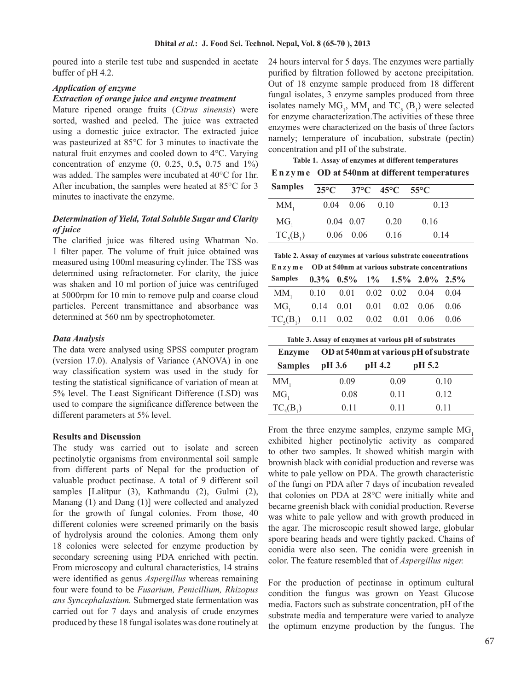poured into a sterile test tube and suspended in acetate buffer of pH 4.2.

## *Application of enzyme*

#### *Extraction of orange juice and enzyme treatment*

Mature ripened orange fruits (*Citrus sinensis*) were sorted, washed and peeled. The juice was extracted using a domestic juice extractor. The extracted juice was pasteurized at 85°C for 3 minutes to inactivate the natural fruit enzymes and cooled down to 4°C. Varying concentration of enzyme (0, 0.25, 0.5**,** 0.75 and 1%) was added. The samples were incubated at 40°C for 1hr. After incubation, the samples were heated at 85°C for 3 minutes to inactivate the enzyme.

## *Determination of Yield, Total Soluble Sugar and Clarity of juice*

The clarified juice was filtered using Whatman No. 1 filter paper. The volume of fruit juice obtained was measured using 100ml measuring cylinder. The TSS was determined using refractometer. For clarity, the juice was shaken and 10 ml portion of juice was centrifuged at 5000rpm for 10 min to remove pulp and coarse cloud particles. Percent transmittance and absorbance was determined at 560 nm by spectrophotometer.

## *Data Analysis*

The data were analysed using SPSS computer program (version 17.0). Analysis of Variance (ANOVA) in one way classification system was used in the study for testing the statistical significance of variation of mean at 5% level. The Least Significant Difference (LSD) was used to compare the significance difference between the different parameters at 5% level.

#### **Results and Discussion**

The study was carried out to isolate and screen pectinolytic organisms from environmental soil sample from different parts of Nepal for the production of valuable product pectinase. A total of 9 different soil samples [Lalitpur (3), Kathmandu (2), Gulmi (2), Manang (1) and Dang (1)] were collected and analyzed for the growth of fungal colonies. From those, 40 different colonies were screened primarily on the basis of hydrolysis around the colonies. Among them only 18 colonies were selected for enzyme production by secondary screening using PDA enriched with pectin. From microscopy and cultural characteristics, 14 strains were identified as genus *Aspergillus* whereas remaining four were found to be *Fusarium, Penicillium, Rhizopus ans Syncephalastium.* Submerged state fermentation was carried out for 7 days and analysis of crude enzymes produced by these 18 fungal isolates was done routinely at 24 hours interval for 5 days. The enzymes were partially purified by filtration followed by acetone precipitation. Out of 18 enzyme sample produced from 18 different fungal isolates, 3 enzyme samples produced from three isolates namely  $MG_1$ ,  $MM_1$  and  $TC_5$  ( $B_1$ ) were selected for enzyme characterization.The activities of these three enzymes were characterized on the basis of three factors namely; temperature of incubation, substrate (pectin) concentration and pH of the substrate.

| Table 1. Assay of enzymes at different temperatures |                                              |           |                               |                |  |
|-----------------------------------------------------|----------------------------------------------|-----------|-------------------------------|----------------|--|
|                                                     | Enzyme OD at 540nm at different temperatures |           |                               |                |  |
| <b>Samples</b>                                      | $25^{\circ}$ C                               |           | $37^{\circ}$ C $45^{\circ}$ C | $55^{\circ}$ C |  |
| $MM_1$                                              | 0.04                                         | 0.06      | $(1)$ 1()                     | 0.13           |  |
| MG <sub>1</sub>                                     | $0.04 \quad 0.07$                            |           | 0.20                          | 0.16           |  |
| $TC_{5}(B_{1})$                                     | 0.06                                         | $(1)$ (16 | 0.16                          | 0.14           |  |

|                                               | Enzyme OD at 540nm at various substrate concentrations |                                               |  |  |  |  |
|-----------------------------------------------|--------------------------------------------------------|-----------------------------------------------|--|--|--|--|
| <b>Samples</b>                                |                                                        | $0.3\%$ $0.5\%$ $1\%$ $1.5\%$ $2.0\%$ $2.5\%$ |  |  |  |  |
| MM <sub>1</sub> 0.10 0.01 0.02 0.02 0.04 0.04 |                                                        |                                               |  |  |  |  |
| MG <sub>1</sub> 0.14 0.01 0.01 0.02 0.06 0.06 |                                                        |                                               |  |  |  |  |
| $TC_s(B_1)$ 0.11 0.02 0.02 0.01 0.06 0.06     |                                                        |                                               |  |  |  |  |

| Table 3. Assay of enzymes at various pH of substrates |                                        |        |        |  |  |
|-------------------------------------------------------|----------------------------------------|--------|--------|--|--|
| <b>Enzyme</b>                                         | OD at 540nm at various pH of substrate |        |        |  |  |
| <b>Samples</b>                                        | pH 3.6                                 | pH 4.2 | pH 5.2 |  |  |
| $MM_1$                                                | 0.09                                   | 0.09   | 0.10   |  |  |
| MG <sub>1</sub>                                       | 0.08                                   | 0.11   | 0.12   |  |  |
| $TC_{5}(B_{1})$                                       | 0.11                                   | 0.11   | 0.11   |  |  |

From the three enzyme samples, enzyme sample MG, exhibited higher pectinolytic activity as compared to other two samples. It showed whitish margin with brownish black with conidial production and reverse was white to pale yellow on PDA. The growth characteristic of the fungi on PDA after 7 days of incubation revealed that colonies on PDA at 28°C were initially white and became greenish black with conidial production. Reverse was white to pale yellow and with growth produced in the agar. The microscopic result showed large, globular spore bearing heads and were tightly packed. Chains of conidia were also seen. The conidia were greenish in color. The feature resembled that of *Aspergillus niger.*

For the production of pectinase in optimum cultural condition the fungus was grown on Yeast Glucose media. Factors such as substrate concentration, pH of the substrate media and temperature were varied to analyze the optimum enzyme production by the fungus. The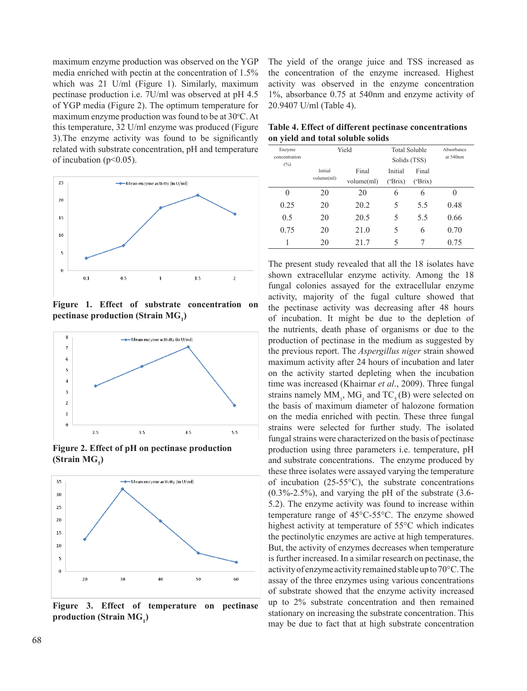maximum enzyme production was observed on the YGP media enriched with pectin at the concentration of 1.5% which was 21 U/ml (Figure 1). Similarly, maximum pectinase production i.e. 7U/ml was observed at pH 4.5 of YGP media (Figure 2). The optimum temperature for maximum enzyme production was found to be at  $30^{\circ}$ C. At this temperature, 32 U/ml enzyme was produced (Figure 3).The enzyme activity was found to be significantly related with substrate concentration, pH and temperature of incubation ( $p<0.05$ ).



**Figure 1. Effect of substrate concentration on**  pectinase production (Strain MG<sub>1</sub>)



**Figure 2. Effect of pH on pectinase production**  (Strain MG<sub>1</sub>)



**Figure 3. Effect of temperature on pectinase**  production (Strain MG<sub>1</sub>)

The yield of the orange juice and TSS increased as the concentration of the enzyme increased. Highest activity was observed in the enzyme concentration 1%, absorbance 0.75 at 540nm and enzyme activity of 20.9407 U/ml (Table 4).

**Table 4. Effect of different pectinase concentrations on yield and total soluble solids**

| Enzyme<br>concentration<br>$(\%)$ | Yield      |            | <b>Total Soluble</b><br>Solids (TSS) |                  | Absorbance<br>at 540nm |
|-----------------------------------|------------|------------|--------------------------------------|------------------|------------------------|
|                                   | Initial    | Final      | Initial                              | Final            |                        |
|                                   | volume(ml) | volume(ml) | $(^{\circ}Brix)$                     | $(^{\circ}Brix)$ |                        |
| 0                                 | 20         | 20         | 6                                    | 6                | 0                      |
| 0.25                              | 20         | 20.2       | 5                                    | 5.5              | 0.48                   |
| 0.5                               | 20         | 20.5       | 5                                    | 5.5              | 0.66                   |
| 0.75                              | 20         | 21.0       | 5                                    | 6                | 0.70                   |
| 1                                 | 20         | 21.7       | 5                                    | 7                | 0.75                   |

The present study revealed that all the 18 isolates have shown extracellular enzyme activity. Among the 18 fungal colonies assayed for the extracellular enzyme activity, majority of the fugal culture showed that the pectinase activity was decreasing after 48 hours of incubation. It might be due to the depletion of the nutrients, death phase of organisms or due to the production of pectinase in the medium as suggested by the previous report. The *Aspergillus niger* strain showed maximum activity after 24 hours of incubation and later on the activity started depleting when the incubation time was increased (Khairnar *et al*., 2009). Three fungal strains namely  $MM_1$ ,  $MG_1$  and  $TC_5(B)$  were selected on the basis of maximum diameter of halozone formation on the media enriched with pectin. These three fungal strains were selected for further study. The isolated fungal strains were characterized on the basis of pectinase production using three parameters i.e. temperature, pH and substrate concentrations. The enzyme produced by these three isolates were assayed varying the temperature of incubation  $(25-55\degree C)$ , the substrate concentrations  $(0.3\% - 2.5\%)$ , and varying the pH of the substrate  $(3.6 -$ 5.2). The enzyme activity was found to increase within temperature range of 45°C-55°C. The enzyme showed highest activity at temperature of 55°C which indicates the pectinolytic enzymes are active at high temperatures. But, the activity of enzymes decreases when temperature is further increased. In a similar research on pectinase, the activity of enzyme activity remained stable up to 70°C. The assay of the three enzymes using various concentrations of substrate showed that the enzyme activity increased up to 2% substrate concentration and then remained stationary on increasing the substrate concentration. This may be due to fact that at high substrate concentration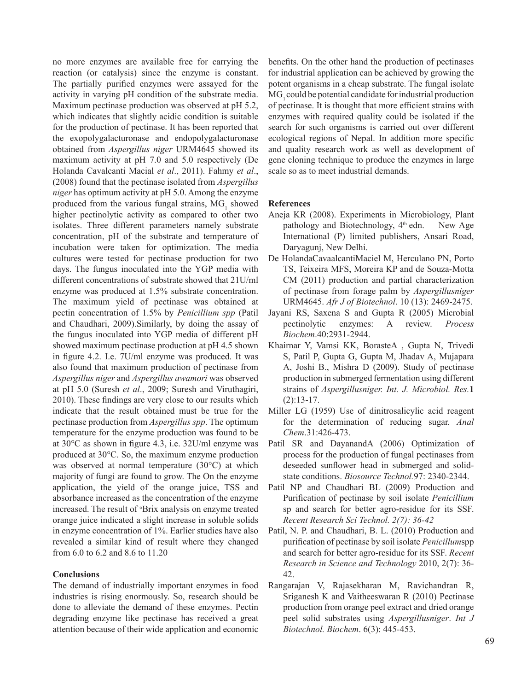no more enzymes are available free for carrying the reaction (or catalysis) since the enzyme is constant. The partially purified enzymes were assayed for the activity in varying pH condition of the substrate media. Maximum pectinase production was observed at pH 5.2, which indicates that slightly acidic condition is suitable for the production of pectinase. It has been reported that the exopolygalacturonase and endopolygalacturonase obtained from *Aspergillus niger* URM4645 showed its maximum activity at pH 7.0 and 5.0 respectively (De Holanda Cavalcanti Macial *et al*., 2011). Fahmy *et al*., (2008) found that the pectinase isolated from *Aspergillus niger* has optimum activity at pH 5.0. Among the enzyme produced from the various fungal strains,  $MG<sub>1</sub>$  showed higher pectinolytic activity as compared to other two isolates. Three different parameters namely substrate concentration, pH of the substrate and temperature of incubation were taken for optimization. The media cultures were tested for pectinase production for two days. The fungus inoculated into the YGP media with different concentrations of substrate showed that 21U/ml enzyme was produced at 1.5% substrate concentration. The maximum yield of pectinase was obtained at pectin concentration of 1.5% by *Penicillium spp* (Patil and Chaudhari, 2009).Similarly, by doing the assay of the fungus inoculated into YGP media of different pH showed maximum pectinase production at pH 4.5 shown in figure 4.2. I.e. 7U/ml enzyme was produced. It was also found that maximum production of pectinase from *Aspergillus niger* and *Aspergillus awamori* was observed at pH 5.0 (Suresh *et al*., 2009; Suresh and Viruthagiri, 2010). These findings are very close to our results which indicate that the result obtained must be true for the pectinase production from *Aspergillus spp*. The optimum temperature for the enzyme production was found to be at 30°C as shown in figure 4.3, i.e. 32U/ml enzyme was produced at 30°C. So, the maximum enzyme production was observed at normal temperature (30°C) at which majority of fungi are found to grow. The On the enzyme application, the yield of the orange juice, TSS and absorbance increased as the concentration of the enzyme increased. The result of <sup>o</sup>Brix analysis on enzyme treated orange juice indicated a slight increase in soluble solids in enzyme concentration of 1%. Earlier studies have also revealed a similar kind of result where they changed from 6.0 to 6.2 and 8.6 to 11.20

## **Conclusions**

The demand of industrially important enzymes in food industries is rising enormously. So, research should be done to alleviate the demand of these enzymes. Pectin degrading enzyme like pectinase has received a great attention because of their wide application and economic

benefits. On the other hand the production of pectinases for industrial application can be achieved by growing the potent organisms in a cheap substrate. The fungal isolate MG<sub>1</sub> could be potential candidate for industrial production of pectinase. It is thought that more efficient strains with enzymes with required quality could be isolated if the search for such organisms is carried out over different ecological regions of Nepal. In addition more specific and quality research work as well as development of gene cloning technique to produce the enzymes in large scale so as to meet industrial demands.

## **References**

- Aneja KR (2008). Experiments in Microbiology, Plant pathology and Biotechnology,  $4<sup>th</sup>$  edn. New Age International (P) limited publishers, Ansari Road, Daryagunj, New Delhi.
- De HolandaCavaalcantiMaciel M, Herculano PN, Porto TS, Teixeira MFS, Moreira KP and de Souza-Motta CM (2011) production and partial characterization of pectinase from forage palm by *Aspergillusniger* URM4645. *Afr J of Biotechnol*. 10 (13): 2469-2475.
- Jayani RS, Saxena S and Gupta R (2005) Microbial pectinolytic enzymes: A review. *Process Biochem*.40:2931-2944.
- Khairnar Y, Vamsi KK, BorasteA , Gupta N, Trivedi S, Patil P, Gupta G, Gupta M, Jhadav A, Mujapara A, Joshi B., Mishra D (2009). Study of pectinase production in submerged fermentation using different strains of *Aspergillusniger. Int. J. Microbiol. Res.***1** (2):13-17.
- Miller LG (1959) Use of dinitrosalicylic acid reagent for the determination of reducing sugar. *Anal Chem*.31:426-473.
- Patil SR and DayanandA (2006) Optimization of process for the production of fungal pectinases from deseeded sunflower head in submerged and solidstate conditions. *Biosource Technol.*97: 2340-2344.
- Patil NP and Chaudhari BL (2009) Production and Purification of pectinase by soil isolate *Penicillium*  sp and search for better agro-residue for its SSF. *Recent Research Sci Technol. 2(7): 36-42*
- Patil, N. P. and Chaudhari, B. L. (2010) Production and purification of pectinase by soil isolate *Penicillum*spp and search for better agro-residue for its SSF. *Recent Research in Science and Technology* 2010, 2(7): 36- 42.
- Rangarajan V, Rajasekharan M, Ravichandran R, Sriganesh K and Vaitheeswaran R (2010) Pectinase production from orange peel extract and dried orange peel solid substrates using *Aspergillusniger*. *Int J Biotechnol. Biochem*. 6(3): 445-453.